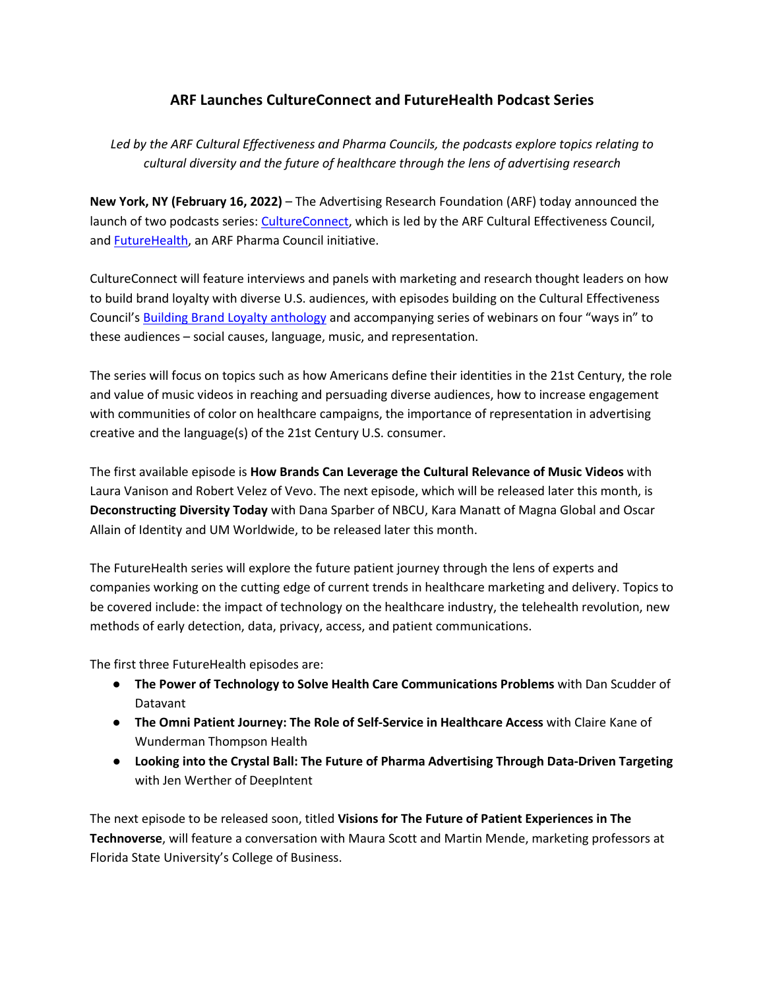## **ARF Launches CultureConnect and FutureHealth Podcast Series**

*Led by the ARF Cultural Effectiveness and Pharma Councils, the podcasts explore topics relating to cultural diversity and the future of healthcare through the lens of advertising research*

**New York, NY (February 16, 2022)** – The Advertising Research Foundation (ARF) today announced the launch of two podcasts series: [CultureConnect,](https://thearf.org/councils/cultural-effectiveness-council-podcast-series/) which is led by the ARF Cultural Effectiveness Council, and [FutureHealth,](https://thearf.org/councils/pharma-council-futurehealth-podcast-webcast-series/) an ARF Pharma Council initiative.

CultureConnect will feature interviews and panels with marketing and research thought leaders on how to build brand loyalty with diverse U.S. audiences, with episodes building on the Cultural Effectiveness Council'[s Building Brand Loyalty anthology](https://cdn.thearf.org/ARF_Knowledgebase/ARF%20Councils/ARF_Cultural_Anthology_2022_02.pdf) and accompanying series of webinars on four "ways in" to these audiences – social causes, language, music, and representation.

The series will focus on topics such as how Americans define their identities in the 21st Century, the role and value of music videos in reaching and persuading diverse audiences, how to increase engagement with communities of color on healthcare campaigns, the importance of representation in advertising creative and the language(s) of the 21st Century U.S. consumer.

The first available episode is **How Brands Can Leverage the Cultural Relevance of Music Videos** with Laura Vanison and Robert Velez of Vevo. The next episode, which will be released later this month, is **Deconstructing Diversity Today** with Dana Sparber of NBCU, Kara Manatt of Magna Global and Oscar Allain of Identity and UM Worldwide, to be released later this month.

The FutureHealth series will explore the future patient journey through the lens of experts and companies working on the cutting edge of current trends in healthcare marketing and delivery. Topics to be covered include: the impact of technology on the healthcare industry, the telehealth revolution, new methods of early detection, data, privacy, access, and patient communications.

The first three FutureHealth episodes are:

- **The Power of Technology to Solve Health Care Communications Problems** with Dan Scudder of Datavant
- **The Omni Patient Journey: The Role of Self-Service in Healthcare Access** [w](https://thearf.org/category/podcast/futurehealth-the-pharma-council-podcast-webcast-series-on-the-patient-journey-of-the-future-what-to-expect-in-the-next-3-5-years/)ith Claire Kane of Wunderman Thompson Health
- **Looking into the Crystal Ball: The Future of Pharma Advertising Through Data-Driven Targeting** with Jen Werther of DeepIntent

The next episode to be released soon, titled **Visions for The Future of Patient Experiences in The Technoverse**, will feature a conversation with Maura Scott and Martin Mende, marketing professors at Florida State University's College of Business.